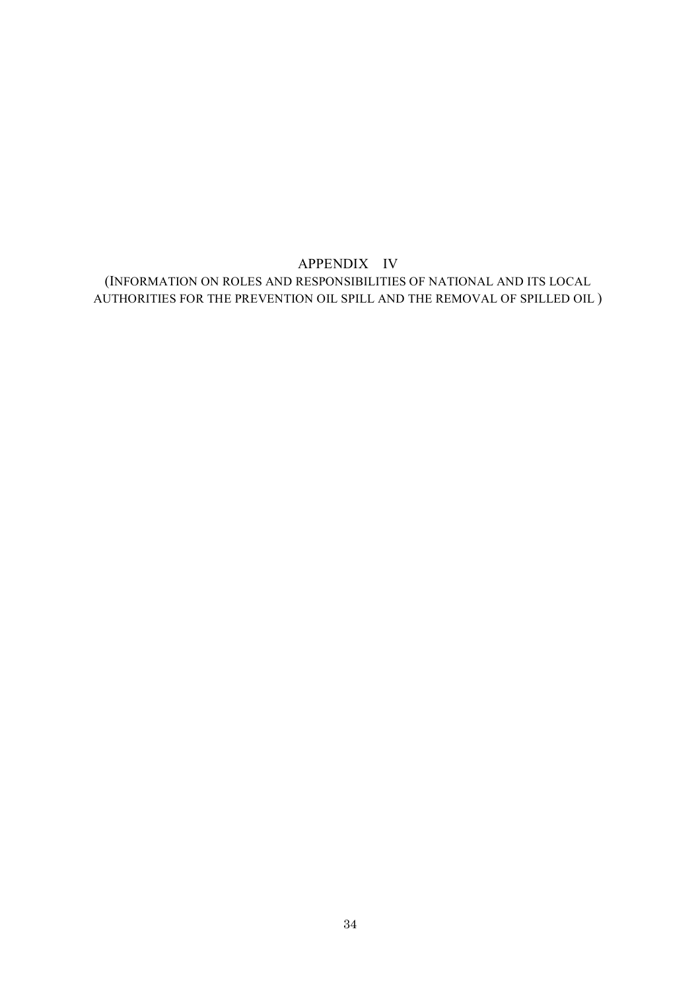# APPENDIX IV (INFORMATION ON ROLES AND RESPONSIBILITIES OF NATIONAL AND ITS LOCAL AUTHORITIES FOR THE PREVENTION OIL SPILL AND THE REMOVAL OF SPILLED OIL )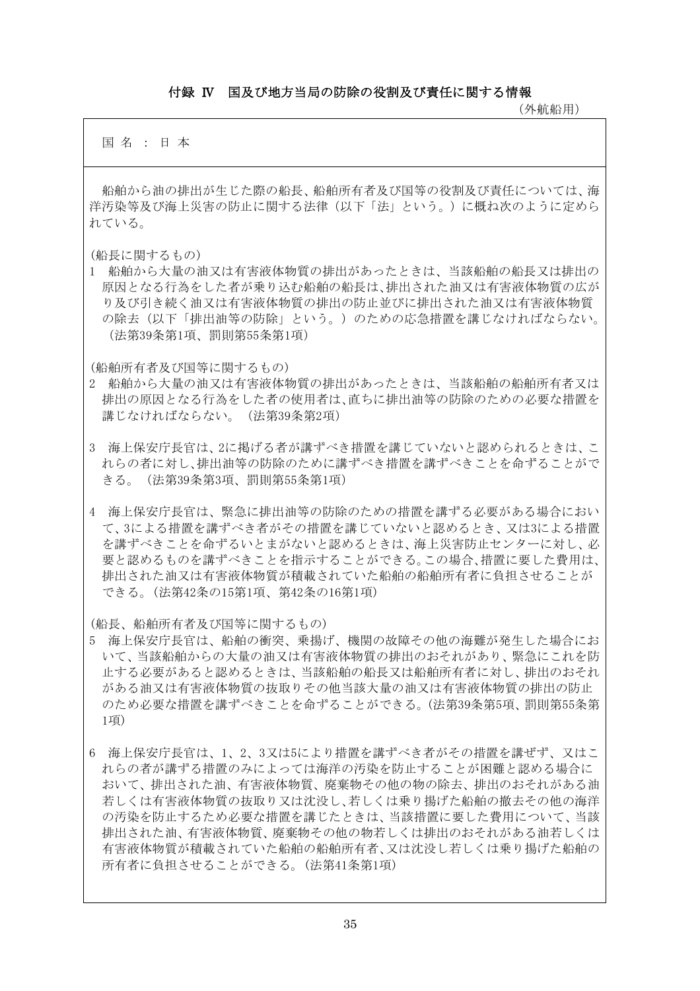#### 付録 Ⅳ 国及び地方当局の防除の役割及び責任に関する情報

(外航船用)

国 名 : 日 本

船舶から油の排出が生じた際の船長、船舶所有者及び国等の役割及び責任については、海 洋汚染等及び海上災害の防止に関する法律(以下「法」という。)に概ね次のように定めら れている。

(船長に関するもの)

1 船舶から大量の油又は有害液体物質の排出があったときは、当該船舶の船長又は排出の 原因となる行為をした者が乗り込む船舶の船長は、排出された油又は有害液体物質の広が り及び引き続く油又は有害液体物質の排出の防止並びに排出された油又は有害液体物質 の除去(以下「排出油等の防除」という。)のための応急措置を講じなければならない。 (法第39条第1項、罰則第55条第1項)

(船舶所有者及び国等に関するもの)

- 2 船舶から大量の油又は有害液体物質の排出があったときは、当該船舶の船舶所有者又は 排出の原因となる行為をした者の使用者は、直ちに排出油等の防除のための必要な措置を 講じなければならない。(法第39条第2項)
- 3 海上保安庁長官は、2に掲げる者が講ずべき措置を講じていないと認められるときは、こ れらの者に対し、排出油等の防除のために講ずべき措置を講ずべきことを命ずることがで きる。(法第39条第3項、罰則第55条第1項)
- 4 海上保安庁長官は、緊急に排出油等の防除のための措置を講ずる必要がある場合におい て、3による措置を講ずべき者がその措置を講じていないと認めるとき、又は3による措置 を講ずべきことを命ずるいとまがないと認めるときは、海上災害防止センターに対し、必 要と認めるものを講ずべきことを指示することができる。この場合、措置に要した費用は、 排出された油又は有害液体物質が積載されていた船舶の船舶所有者に負担させることが できる。(法第42条の15第1項、第42条の16第1項)

(船長、船舶所有者及び国等に関するもの)

- 5 海上保安庁長官は、船舶の衝突、乗揚げ、機関の故障その他の海難が発生した場合にお いて、当該船舶からの大量の油又は有害液体物質の排出のおそれがあり、緊急にこれを防 止する必要があると認めるときは、当該船舶の船長又は船舶所有者に対し、排出のおそれ がある油又は有害液体物質の抜取りその他当該大量の油又は有害液体物質の排出の防止 のため必要な措置を講ずべきことを命ずることができる。(法第39条第5項、罰則第55条第 1項)
- 6 海上保安庁長官は、1、2、3又は5により措置を講ずべき者がその措置を講ぜず、又はこ れらの者が講ずる措置のみによっては海洋の汚染を防止することが困難と認める場合に おいて、排出された油、有害液体物質、廃棄物その他の物の除去、排出のおそれがある油 若しくは有害液体物質の抜取り又は沈没し、若しくは乗り揚げた船舶の撤去その他の海洋 の汚染を防止するため必要な措置を講じたときは、当該措置に要した費用について、当該 排出された油、有害液体物質、廃棄物その他の物若しくは排出のおそれがある油若しくは 有害液体物質が積載されていた船舶の船舶所有者、又は沈没し若しくは乗り揚げた船舶の 所有者に負担させることができる。(法第41条第1項)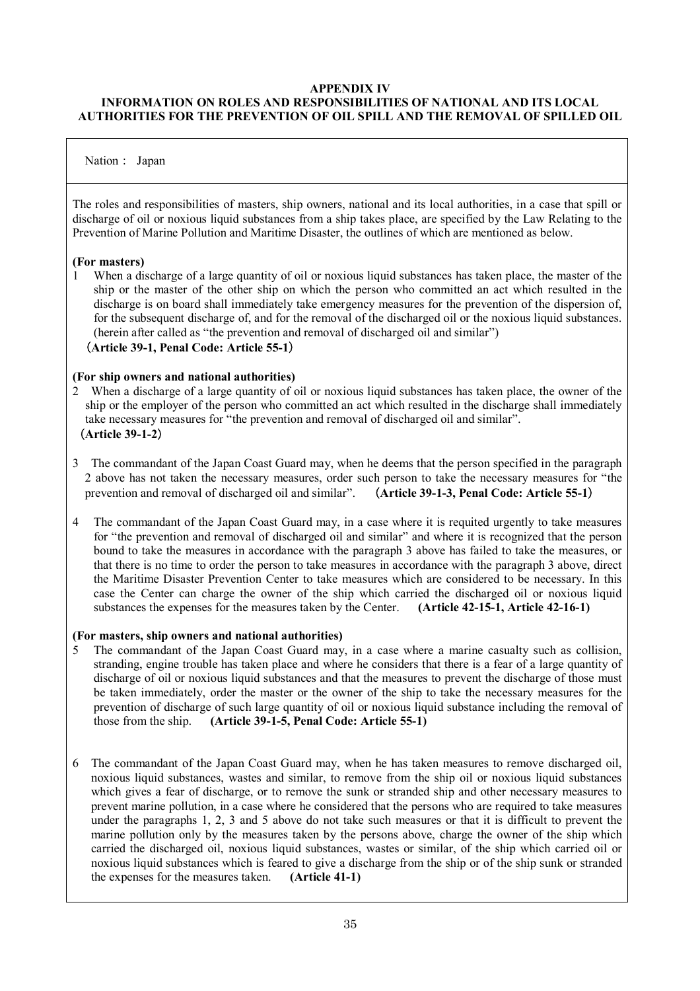## **APPENDIX IV**

# **INFORMATION ON ROLES AND RESPONSIBILITIES OF NATIONAL AND ITS LOCAL AUTHORITIES FOR THE PREVENTION OF OIL SPILL AND THE REMOVAL OF SPILLED OIL**

### Nation: Japan

The roles and responsibilities of masters, ship owners, national and its local authorities, in a case that spill or discharge of oil or noxious liquid substances from a ship takes place, are specified by the Law Relating to the Prevention of Marine Pollution and Maritime Disaster, the outlines of which are mentioned as below.

#### **(For masters)**

1 When a discharge of a large quantity of oil or noxious liquid substances has taken place, the master of the ship or the master of the other ship on which the person who committed an act which resulted in the discharge is on board shall immediately take emergency measures for the prevention of the dispersion of, for the subsequent discharge of, and for the removal of the discharged oil or the noxious liquid substances. (herein after called as "the prevention and removal of discharged oil and similar")

#### (**Article 39-1, Penal Code: Article 55-1**)

#### **(For ship owners and national authorities)**

- 2 When a discharge of a large quantity of oil or noxious liquid substances has taken place, the owner of the ship or the employer of the person who committed an act which resulted in the discharge shall immediately take necessary measures for "the prevention and removal of discharged oil and similar". (**Article 39-1-2**)
- 3 The commandant of the Japan Coast Guard may, when he deems that the person specified in the paragraph 2 above has not taken the necessary measures, order such person to take the necessary measures for "the prevention and removal of discharged oil and similar". (**Article 39-1-3, Penal Code: Article 55-1**)
- 4 The commandant of the Japan Coast Guard may, in a case where it is requited urgently to take measures for "the prevention and removal of discharged oil and similar"and where it is recognized that the person bound to take the measures in accordance with the paragraph 3 above has failed to take the measures, or that there is no time to order the person to take measures in accordance with the paragraph 3 above, direct the Maritime Disaster Prevention Center to take measures which are considered to be necessary. In this case the Center can charge the owner of the ship which carried the discharged oil or noxious liquid substances the expenses for the measures taken by the Center. **(Article 42-15-1, Article 42-16-1)**

#### **(For masters, ship owners and national authorities)**

- 5 The commandant of the Japan Coast Guard may, in a case where a marine casualty such as collision, stranding, engine trouble has taken place and where he considers that there is a fear of a large quantity of discharge of oil or noxious liquid substances and that the measures to prevent the discharge of those must be taken immediately, order the master or the owner of the ship to take the necessary measures for the prevention of discharge of such large quantity of oil or noxious liquid substance including the removal of those from the ship. **(Article 39-1-5, Penal Code: Article 55-1)**
- 6 The commandant of the Japan Coast Guard may, when he has taken measures to remove discharged oil, noxious liquid substances, wastes and similar, to remove from the ship oil or noxious liquid substances which gives a fear of discharge, or to remove the sunk or stranded ship and other necessary measures to prevent marine pollution, in a case where he considered that the persons who are required to take measures under the paragraphs 1, 2, 3 and 5 above do not take such measures or that it is difficult to prevent the marine pollution only by the measures taken by the persons above, charge the owner of the ship which carried the discharged oil, noxious liquid substances, wastes or similar, of the ship which carried oil or noxious liquid substances which is feared to give a discharge from the ship or of the ship sunk or stranded the expenses for the measures taken. **(Article 41-1)**